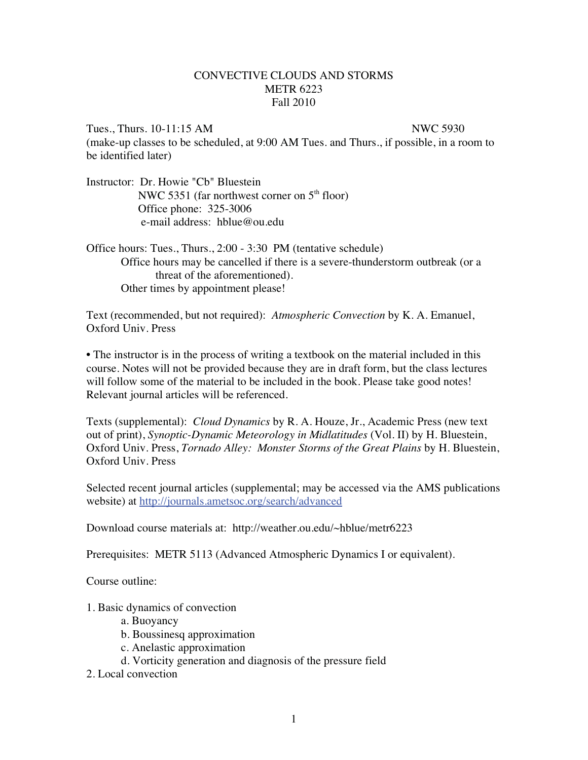## CONVECTIVE CLOUDS AND STORMS METR 6223 Fall 2010

Tues., Thurs. 10-11:15 AM NWC 5930 (make-up classes to be scheduled, at 9:00 AM Tues. and Thurs., if possible, in a room to be identified later)

Instructor: Dr. Howie "Cb" Bluestein NWC 5351 (far northwest corner on  $5<sup>th</sup>$  floor) Office phone: 325-3006 e-mail address: hblue@ou.edu

Office hours: Tues., Thurs., 2:00 - 3:30 PM (tentative schedule) Office hours may be cancelled if there is a severe-thunderstorm outbreak (or a threat of the aforementioned). Other times by appointment please!

Text (recommended, but not required): *Atmospheric Convection* by K. A. Emanuel, Oxford Univ. Press

• The instructor is in the process of writing a textbook on the material included in this course. Notes will not be provided because they are in draft form, but the class lectures will follow some of the material to be included in the book. Please take good notes! Relevant journal articles will be referenced.

Texts (supplemental): *Cloud Dynamics* by R. A. Houze, Jr., Academic Press (new text out of print), *Synoptic-Dynamic Meteorology in Midlatitudes* (Vol. II) by H. Bluestein, Oxford Univ. Press, *Tornado Alley: Monster Storms of the Great Plains* by H. Bluestein, Oxford Univ. Press

Selected recent journal articles (supplemental; may be accessed via the AMS publications website) at http://journals.ametsoc.org/search/advanced

Download course materials at: http://weather.ou.edu/~hblue/metr6223

Prerequisites: METR 5113 (Advanced Atmospheric Dynamics I or equivalent).

Course outline:

1. Basic dynamics of convection

- a. Buoyancy
- b. Boussinesq approximation
- c. Anelastic approximation
- d. Vorticity generation and diagnosis of the pressure field
- 2. Local convection